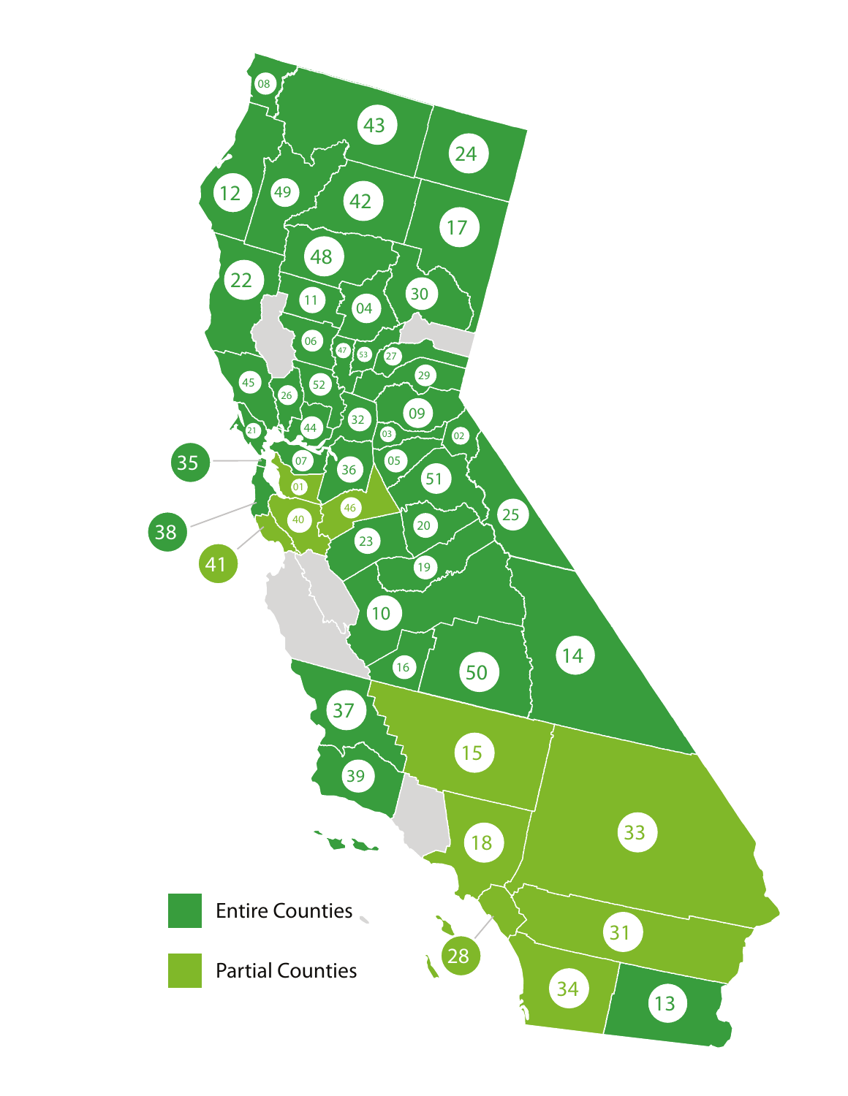